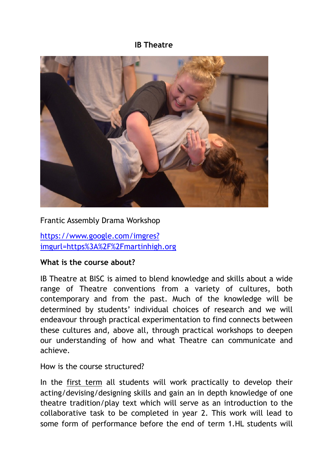#### **IB Theatre**



#### Frantic Assembly Drama Workshop

[https://www.google.com/imgres?](https://www.google.com/imgres?imgurl=https%253A%252F%252Fmartinhigh.org) [imgurl=https%3A%2F%2Fmartinhigh.org](https://www.google.com/imgres?imgurl=https%253A%252F%252Fmartinhigh.org)

#### **What is the course about?**

IB Theatre at BISC is aimed to blend knowledge and skills about a wide range of Theatre conventions from a variety of cultures, both contemporary and from the past. Much of the knowledge will be determined by students' individual choices of research and we will endeavour through practical experimentation to find connects between these cultures and, above all, through practical workshops to deepen our understanding of how and what Theatre can communicate and achieve.

How is the course structured?

In the first term all students will work practically to develop their acting/devising/designing skills and gain an in depth knowledge of one theatre tradition/play text which will serve as an introduction to the collaborative task to be completed in year 2. This work will lead to some form of performance before the end of term 1.HL students will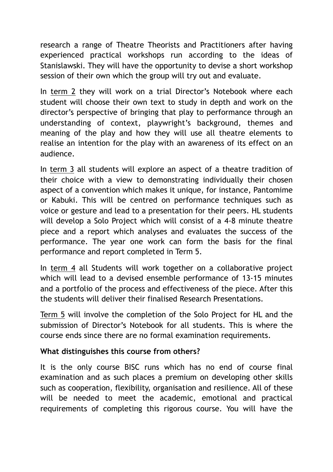research a range of Theatre Theorists and Practitioners after having experienced practical workshops run according to the ideas of Stanislawski. They will have the opportunity to devise a short workshop session of their own which the group will try out and evaluate.

In term 2 they will work on a trial Director's Notebook where each student will choose their own text to study in depth and work on the director's perspective of bringing that play to performance through an understanding of context, playwright's background, themes and meaning of the play and how they will use all theatre elements to realise an intention for the play with an awareness of its effect on an audience.

In term 3 all students will explore an aspect of a theatre tradition of their choice with a view to demonstrating individually their chosen aspect of a convention which makes it unique, for instance, Pantomime or Kabuki. This will be centred on performance techniques such as voice or gesture and lead to a presentation for their peers. HL students will develop a Solo Project which will consist of a 4-8 minute theatre piece and a report which analyses and evaluates the success of the performance. The year one work can form the basis for the final performance and report completed in Term 5.

In term 4 all Students will work together on a collaborative project which will lead to a devised ensemble performance of 13-15 minutes and a portfolio of the process and effectiveness of the piece. After this the students will deliver their finalised Research Presentations.

Term 5 will involve the completion of the Solo Project for HL and the submission of Director's Notebook for all students. This is where the course ends since there are no formal examination requirements.

## **What distinguishes this course from others?**

It is the only course BISC runs which has no end of course final examination and as such places a premium on developing other skills such as cooperation, flexibility, organisation and resilience. All of these will be needed to meet the academic, emotional and practical requirements of completing this rigorous course. You will have the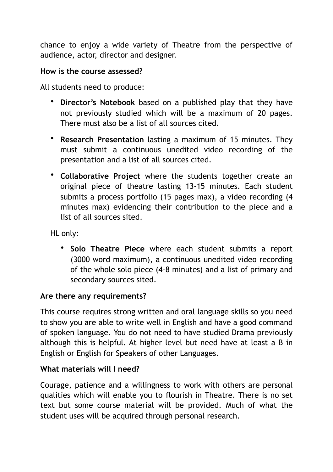chance to enjoy a wide variety of Theatre from the perspective of audience, actor, director and designer.

### **How is the course assessed?**

All students need to produce:

- **Director's Notebook** based on a published play that they have not previously studied which will be a maximum of 20 pages. There must also be a list of all sources cited.
- **Research Presentation** lasting a maximum of 15 minutes. They must submit a continuous unedited video recording of the presentation and a list of all sources cited.
- **Collaborative Project** where the students together create an original piece of theatre lasting 13-15 minutes. Each student submits a process portfolio (15 pages max), a video recording (4 minutes max) evidencing their contribution to the piece and a list of all sources sited.

HL only:

• **Solo Theatre Piece** where each student submits a report (3000 word maximum), a continuous unedited video recording of the whole solo piece (4-8 minutes) and a list of primary and secondary sources sited.

### **Are there any requirements?**

This course requires strong written and oral language skills so you need to show you are able to write well in English and have a good command of spoken language. You do not need to have studied Drama previously although this is helpful. At higher level but need have at least a B in English or English for Speakers of other Languages.

### **What materials will I need?**

Courage, patience and a willingness to work with others are personal qualities which will enable you to flourish in Theatre. There is no set text but some course material will be provided. Much of what the student uses will be acquired through personal research.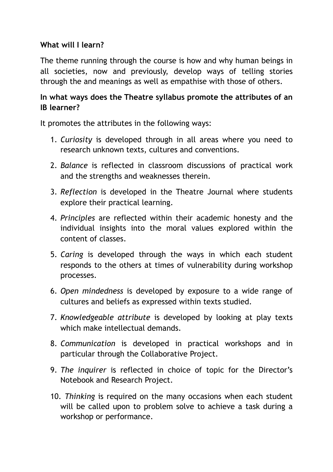## **What will I learn?**

The theme running through the course is how and why human beings in all societies, now and previously, develop ways of telling stories through the and meanings as well as empathise with those of others.

# **In what ways does the Theatre syllabus promote the attributes of an IB learner?**

It promotes the attributes in the following ways:

- 1. *Curiosity* is developed through in all areas where you need to research unknown texts, cultures and conventions.
- 2. *Balance* is reflected in classroom discussions of practical work and the strengths and weaknesses therein.
- 3. *Reflection* is developed in the Theatre Journal where students explore their practical learning.
- 4. *Principles* are reflected within their academic honesty and the individual insights into the moral values explored within the content of classes.
- 5. *Caring* is developed through the ways in which each student responds to the others at times of vulnerability during workshop processes.
- 6. *Open mindedness* is developed by exposure to a wide range of cultures and beliefs as expressed within texts studied.
- 7. *Knowledgeable attribute* is developed by looking at play texts which make intellectual demands.
- 8. *Communication* is developed in practical workshops and in particular through the Collaborative Project.
- 9. *The inquirer* is reflected in choice of topic for the Director's Notebook and Research Project.
- 10. *Thinking* is required on the many occasions when each student will be called upon to problem solve to achieve a task during a workshop or performance.